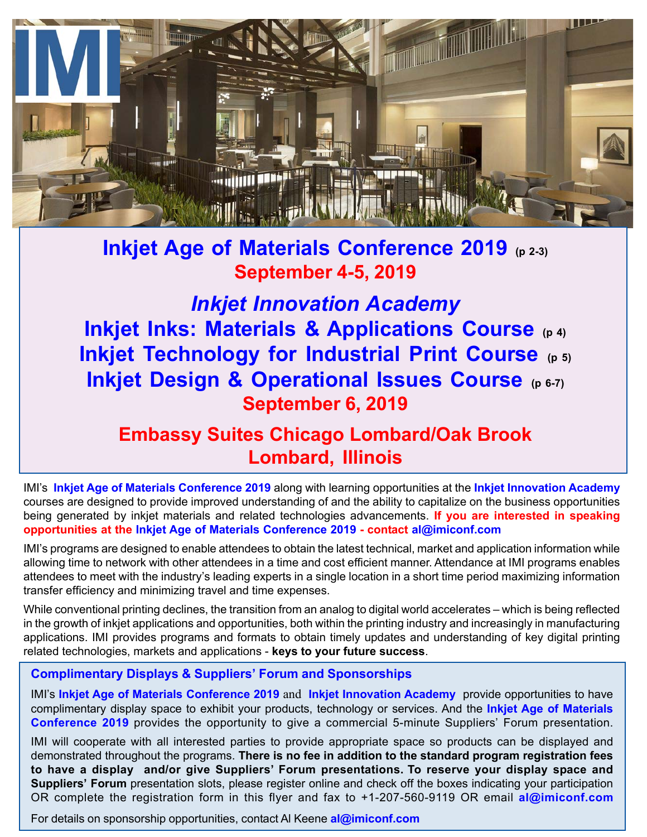

**Inkjet Age of Materials Conference 2019 (p 2-3) September 4-5, 2019**

*Inkjet Innovation Academy* **Inkjet Inks: Materials & Applications Course (p 4) Inkjet Technology for Industrial Print Course (p 5) Inkjet Design & Operational Issues Course (p 6-7) September 6, 2019**

# **Embassy Suites Chicago Lombard/Oak Brook Lombard, Illinois**

IMI's **Inkjet Age of Materials Conference 2019** along with learning opportunities at the **Inkjet Innovation Academy** courses are designed to provide improved understanding of and the ability to capitalize on the business opportunities being generated by inkjet materials and related technologies advancements. **If you are interested in speaking opportunities at the Inkjet Age of Materials Conference 2019 - contact al@imiconf.com**

IMI's programs are designed to enable attendees to obtain the latest technical, market and application information while allowing time to network with other attendees in a time and cost efficient manner. Attendance at IMI programs enables attendees to meet with the industry's leading experts in a single location in a short time period maximizing information transfer efficiency and minimizing travel and time expenses.

While conventional printing declines, the transition from an analog to digital world accelerates – which is being reflected in the growth of inkjet applications and opportunities, both within the printing industry and increasingly in manufacturing applications. IMI provides programs and formats to obtain timely updates and understanding of key digital printing related technologies, markets and applications - **keys to your future success**.

# **Complimentary Displays & Suppliers' Forum and Sponsorships**

IMI's **Inkjet Age of Materials Conference 2019** and **Inkjet Innovation Academy** provide opportunities to have complimentary display space to exhibit your products, technology or services. And the **Inkjet Age of Materials Conference 2019** provides the opportunity to give a commercial 5-minute Suppliers' Forum presentation.

IMI will cooperate with all interested parties to provide appropriate space so products can be displayed and demonstrated throughout the programs. **There is no fee in addition to the standard program registration fees to have a display and/or give Suppliers' Forum presentations. To reserve your display space and Suppliers' Forum** presentation slots, please register online and check off the boxes indicating your participation OR complete the registration form in this flyer and fax to +1-207-560-9119 OR email **al@imiconf.com**

For details on sponsorship opportunities, contact Al Keene **al@imiconf.com**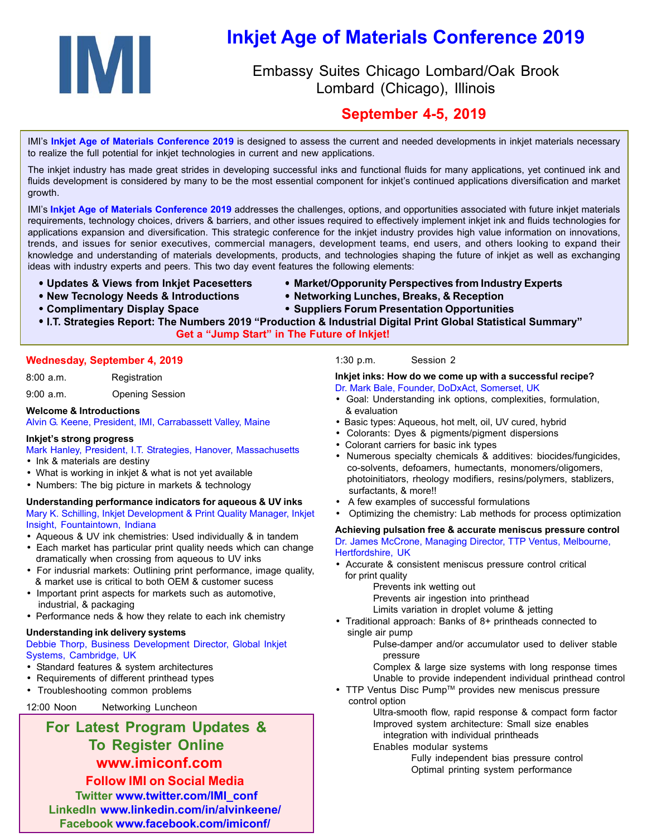

# **Inkjet Age of Materials Conference 2019**

# Embassy Suites Chicago Lombard/Oak Brook Lombard (Chicago), Illinois

# **September 4-5, 2019**

IMI's **Inkjet Age of Materials Conference 2019** is designed to assess the current and needed developments in inkjet materials necessary to realize the full potential for inkjet technologies in current and new applications.

The inkjet industry has made great strides in developing successful inks and functional fluids for many applications, yet continued ink and fluids development is considered by many to be the most essential component for inkjet's continued applications diversification and market growth.

IMI's **Inkjet Age of Materials Conference 2019** addresses the challenges, options, and opportunities associated with future inkjet materials requirements, technology choices, drivers & barriers, and other issues required to effectively implement inkjet ink and fluids technologies for applications expansion and diversification. This strategic conference for the inkjet industry provides high value information on innovations, trends, and issues for senior executives, commercial managers, development teams, end users, and others looking to expand their knowledge and understanding of materials developments, products, and technologies shaping the future of inkjet as well as exchanging ideas with industry experts and peers. This two day event features the following elements:

- 
- **Updates & Views from Inkjet Pacesetters Market/Opporunity Perspectives from Industry Experts**
- **New Tecnology Needs & Introductions Networking Lunches, Breaks, & Reception**
- 
- **Complimentary Display Space Suppliers Forum Presentation Opportunities**

#### **Get a "Jump Start" in The Future of Inkjet!**

#### **Wednesday, September 4, 2019**

8:00 a.m. Registration

9:00 a.m. Opening Session

#### **Welcome & Introductions**

Alvin G. Keene, President, IMI, Carrabassett Valley, Maine

#### **Inkjet's strong progress**

Mark Hanley, President, I.T. Strategies, Hanover, Massachusetts

- Ink & materials are destiny
- What is working in inkjet & what is not yet available
- Numbers: The big picture in markets & technology

#### **Understanding performance indicators for aqueous & UV inks** Mary K. Schilling, Inkjet Development & Print Quality Manager, Inkjet Insight, Fountaintown, Indiana

- Aqueous & UV ink chemistries: Used individually & in tandem
- Each market has particular print quality needs which can change dramatically when crossing from aqueous to UV inks
- For indusrial markets: Outlining print performance, image quality, & market use is critical to both OEM & customer sucess
- Important print aspects for markets such as automotive, industrial, & packaging
- Performance neds & how they relate to each ink chemistry

#### **Understanding ink delivery systems**

#### Debbie Thorp, Business Development Director, Global Inkjet Systems, Cambridge, UK

- Standard features & system architectures
- Requirements of different printhead types
- Troubleshooting common problems

12:00 Noon Networking Luncheon

# **For Latest Program Updates & To Register Online www.imiconf.com**

**Follow IMI on Social Media Twitter www.twitter.com/IMI\_conf LinkedIn www.linkedin.com/in/alvinkeene/ Facebook www.facebook.com/imiconf/**

#### 1:30 p.m. Session 2

# **Inkjet inks: How do we come up with a successful recipe?**

- Dr. Mark Bale, Founder, DoDxAct, Somerset, UK • Goal: Understanding ink options, complexities, formulation,
- & evaluation
- Basic types: Aqueous, hot melt, oil, UV cured, hybrid
- Colorants: Dyes & pigments/pigment dispersions
- Colorant carriers for basic ink types
- Numerous specialty chemicals & additives: biocides/fungicides, co-solvents, defoamers, humectants, monomers/oligomers, photoinitiators, rheology modifiers, resins/polymers, stablizers, surfactants, & more!!
- A few examples of successful formulations
- Optimizing the chemistry: Lab methods for process optimization

#### **Achieving pulsation free & accurate meniscus pressure control** Dr. James McCrone, Managing Director, TTP Ventus, Melbourne, Hertfordshire, UK

- Accurate & consistent meniscus pressure control critical for print quality
	- Prevents ink wetting out
	- Prevents air ingestion into printhead
	- Limits variation in droplet volume & jetting
- Traditional approach: Banks of 8+ printheads connected to single air pump

Pulse-damper and/or accumulator used to deliver stable pressure

Complex & large size systems with long response times Unable to provide independent individual printhead control

• TTP Ventus Disc Pump™ provides new meniscus pressure control option

Ultra-smooth flow, rapid response & compact form factor Improved system architecture: Small size enables integration with individual printheads

Enables modular systems

Fully independent bias pressure control Optimal printing system performance

 <sup>•</sup> **I.T. Strategies Report: The Numbers 2019 "Production & Industrial Digital Print Global Statistical Summary"**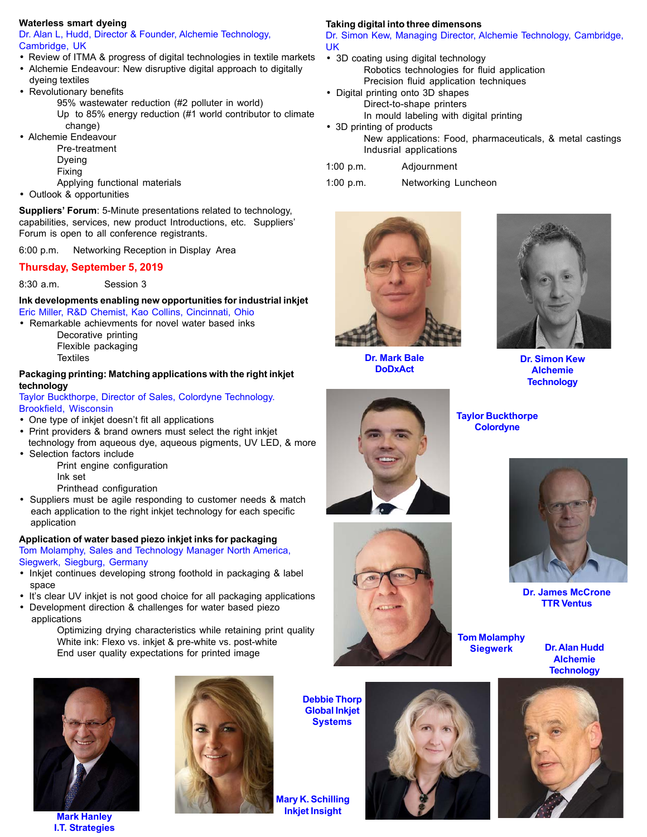#### **Waterless smart dyeing**

Dr. Alan L, Hudd, Director & Founder, Alchemie Technology, Cambridge, UK

- Review of ITMA & progress of digital technologies in textile markets
- Alchemie Endeavour: New disruptive digital approach to digitally dyeing textiles
- Revolutionary benefits
	- 95% wastewater reduction (#2 polluter in world) Up to 85% energy reduction (#1 world contributor to climate
	- change)
- Alchemie Endeavour Pre-treatment
	- Dyeing Fixing
	- Applying functional materials
- Outlook & opportunities

**Suppliers' Forum**: 5-Minute presentations related to technology, capabilities, services, new product Introductions, etc. Suppliers' Forum is open to all conference registrants.

6:00 p.m. Networking Reception in Display Area

#### **Thursday, September 5, 2019**

8:30 a.m. Session 3

**Ink developments enabling new opportunities for industrial inkjet** Eric Miller, R&D Chemist, Kao Collins, Cincinnati, Ohio

• Remarkable achievments for novel water based inks

Decorative printing Flexible packaging **Textiles** 

#### **Packaging printing: Matching applications with the right inkjet technology**

Taylor Buckthorpe, Director of Sales, Colordyne Technology. Brookfield, Wisconsin

- One type of inkjet doesn't fit all applications
- Print providers & brand owners must select the right inkjet technology from aqueous dye, aqueous pigments, UV LED, & more
- Selection factors include Print engine configuration Ink set
	- Printhead configuration
- Suppliers must be agile responding to customer needs & match each application to the right inkjet technology for each specific application

## **Application of water based piezo inkjet inks for packaging**

Tom Molamphy, Sales and Technology Manager North America, Siegwerk, Siegburg, Germany

- Inkjet continues developing strong foothold in packaging & label space
- It's clear UV inkjet is not good choice for all packaging applications
- Development direction & challenges for water based piezo applications

Optimizing drying characteristics while retaining print quality White ink: Flexo vs. inkiet & pre-white vs. post-white End user quality expectations for printed image



**Mark Hanley I.T. Strategies**



# **Taking digital into three dimensons**

Dr. Simon Kew, Managing Director, Alchemie Technology, Cambridge, UK

- 3D coating using digital technology Robotics technologies for fluid application Precision fluid application techniques
- Digital printing onto 3D shapes Direct-to-shape printers In mould labeling with digital printing
- 3D printing of products New applications: Food, pharmaceuticals, & metal castings Indusrial applications
- 1:00 p.m. Adjournment
- 1:00 p.m. Networking Luncheon



**Dr. Mark Bale DoDxAct**



**Dr. Simon Kew Alchemie Technology**





**Tom Molamphy Siegwerk**

**Taylor Buckthorpe Colordyne**

> **Dr. Alan Hudd Alchemie Technology**

**Dr. James McCrone TTR Ventus**





**Mary K. Schilling Inkjet Insight**

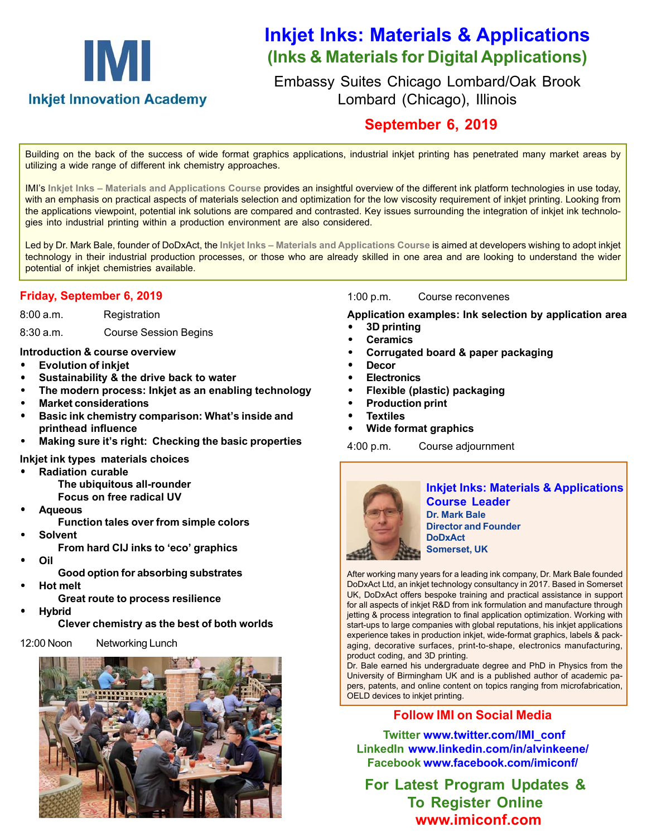# IMI **Inkjet Innovation Academy**

# **Inkjet Inks: Materials & Applications (Inks & Materials for Digital Applications)**

Embassy Suites Chicago Lombard/Oak Brook Lombard (Chicago), Illinois

# **September 6, 2019**

Building on the back of the success of wide format graphics applications, industrial inkjet printing has penetrated many market areas by utilizing a wide range of different ink chemistry approaches.

IMI's **Inkjet Inks – Materials and Applications Course** provides an insightful overview of the different ink platform technologies in use today, with an emphasis on practical aspects of materials selection and optimization for the low viscosity requirement of inkjet printing. Looking from the applications viewpoint, potential ink solutions are compared and contrasted. Key issues surrounding the integration of inkjet ink technologies into industrial printing within a production environment are also considered.

Led by Dr. Mark Bale, founder of DoDxAct, the **Inkjet Inks – Materials and Applications Course** is aimed at developers wishing to adopt inkjet technology in their industrial production processes, or those who are already skilled in one area and are looking to understand the wider potential of inkjet chemistries available.

# **Friday, September 6, 2019**

8:00 a.m. Registration

8:30 a.m. Course Session Begins

## **Introduction & course overview**

- **Evolution of inkjet**
- **Sustainability & the drive back to water**
- **The modern process: Inkjet as an enabling technology**
- **Market considerations**
- **Basic ink chemistry comparison: What's inside and printhead influence**
- **Making sure it's right: Checking the basic properties**

# **Inkjet ink types materials choices**

- **Radiation curable The ubiquitous all-rounder Focus on free radical UV**
- **Aqueous**
	- **Function tales over from simple colors**
- **Solvent**
	- **From hard CIJ inks to 'eco' graphics**
- **Oil**
	- **Good option for absorbing substrates**
- **Hot melt**
	- **Great route to process resilience**
- **Hybrid**

**Clever chemistry as the best of both worlds**

# 12:00 Noon Networking Lunch



1:00 p.m. Course reconvenes

**Application examples: Ink selection by application area**

- **3D printing**
- **Ceramics**
- **Corrugated board & paper packaging**
- **Decor**
- **Electronics**
- **Flexible (plastic) packaging**
- **Production print**
- **Textiles**
- **Wide format graphics**

```
4:00 p.m. Course adjournment
```


**Inkjet Inks: Materials & Applications Course Leader Dr. Mark Bale Director and Founder DoDxAct Somerset, UK**

After working many years for a leading ink company, Dr. Mark Bale founded DoDxAct Ltd, an inkjet technology consultancy in 2017. Based in Somerset UK, DoDxAct offers bespoke training and practical assistance in support for all aspects of inkjet R&D from ink formulation and manufacture through jetting & process integration to final application optimization. Working with start-ups to large companies with global reputations, his inkjet applications experience takes in production inkjet, wide-format graphics, labels & packaging, decorative surfaces, print-to-shape, electronics manufacturing, product coding, and 3D printing.

Dr. Bale earned his undergraduate degree and PhD in Physics from the University of Birmingham UK and is a published author of academic papers, patents, and online content on topics ranging from microfabrication, OELD devices to inkjet printing.

# **Follow IMI on Social Media**

 **Twitter www.twitter.com/IMI\_conf LinkedIn www.linkedin.com/in/alvinkeene/ Facebook www.facebook.com/imiconf/**

**For Latest Program Updates & To Register Online www.imiconf.com**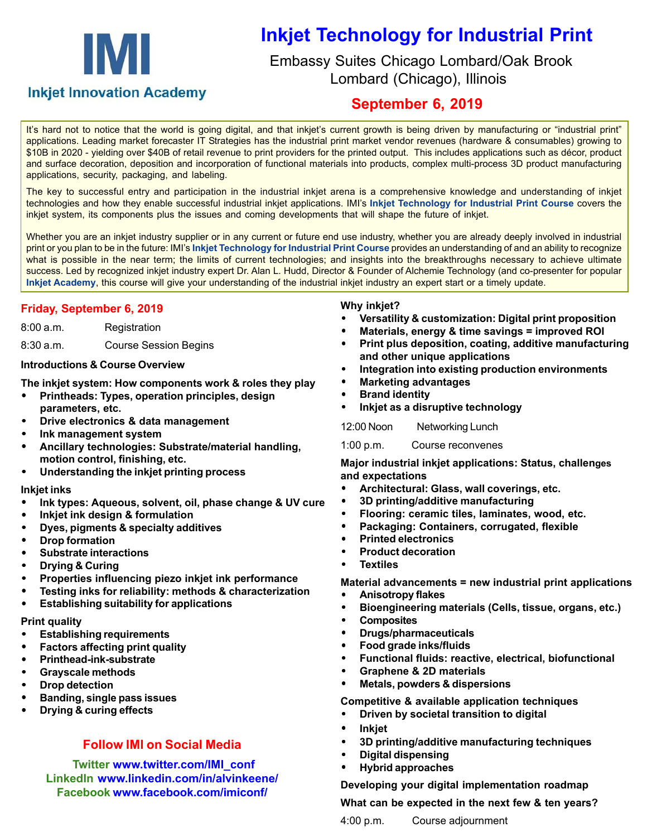# IM.

# **Inkjet Technology for Industrial Print**

 Embassy Suites Chicago Lombard/Oak Brook Lombard (Chicago), Illinois

# **Inkjet Innovation Academy**

# **September 6, 2019**

It's hard not to notice that the world is going digital, and that inkjet's current growth is being driven by manufacturing or "industrial print" applications. Leading market forecaster IT Strategies has the industrial print market vendor revenues (hardware & consumables) growing to \$10B in 2020 - yielding over \$40B of retail revenue to print providers for the printed output. This includes applications such as décor, product and surface decoration, deposition and incorporation of functional materials into products, complex multi-process 3D product manufacturing applications, security, packaging, and labeling.

The key to successful entry and participation in the industrial inkjet arena is a comprehensive knowledge and understanding of inkjet technologies and how they enable successful industrial inkjet applications. IMI's **Inkjet Technology for Industrial Print Course** covers the inkjet system, its components plus the issues and coming developments that will shape the future of inkjet.

Whether you are an inkjet industry supplier or in any current or future end use industry, whether you are already deeply involved in industrial print or you plan to be in the future: IMI's **Inkjet Technology for Industrial Print Course** provides an understanding of and an ability to recognize what is possible in the near term; the limits of current technologies; and insights into the breakthroughs necessary to achieve ultimate success. Led by recognized inkjet industry expert Dr. Alan L. Hudd, Director & Founder of Alchemie Technology (and co-presenter for popular **Inkjet Academy**, this course will give your understanding of the industrial inkjet industry an expert start or a timely update.

# **Friday, September 6, 2019**

| 8:00 a.m. | Registration |
|-----------|--------------|
|-----------|--------------|

8:30 a.m. Course Session Begins

## **Introductions & Course Overview**

**The inkjet system: How components work & roles they play**

- **Printheads: Types, operation principles, design parameters, etc.**
- **Drive electronics & data management**
- **Ink management system**
- **Ancillary technologies: Substrate/material handling, motion control, finishing, etc.**
- **Understanding the inkjet printing process**

## **Inkjet inks**

- **Ink types: Aqueous, solvent, oil, phase change & UV cure**
- **Inkjet ink design & formulation**
- **Dyes, pigments & specialty additives**
- **Drop formation**
- **Substrate interactions**
- **Drying & Curing**
- **Properties influencing piezo inkjet ink performance**
- **Testing inks for reliability: methods & characterization**
- **Establishing suitability for applications**

# **Print quality**

- **Establishing requirements**
- **Factors affecting print quality**
- **Printhead-ink-substrate**
- **Grayscale methods**
- **Drop detection**
- **Banding, single pass issues**
- **Drying & curing effects**

# **Follow IMI on Social Media**

 **Twitter www.twitter.com/IMI\_conf LinkedIn www.linkedin.com/in/alvinkeene/ Facebook www.facebook.com/imiconf/**

#### **Why inkjet?**

- **Versatility & customization: Digital print proposition**
- **Materials, energy & time savings = improved ROI**
- **Print plus deposition, coating, additive manufacturing and other unique applications**
- **Integration into existing production environments**
- **Marketing advantages**
- **Brand identity**
- **Inkjet as a disruptive technology**

12:00 Noon Networking Lunch

1:00 p.m. Course reconvenes

**Major industrial inkjet applications: Status, challenges and expectations**

- **Architectural: Glass, wall coverings, etc.**
- **3D printing/additive manufacturing**
- **Flooring: ceramic tiles, laminates, wood, etc.**
- **Packaging: Containers, corrugated, flexible**
- **Printed electronics**
- **Product decoration**
- **Textiles**

**Material advancements = new industrial print applications**

- **Anisotropy flakes**
- **Bioengineering materials (Cells, tissue, organs, etc.)**
- **Composites**
- **Drugs/pharmaceuticals**
- **Food grade inks/fluids**
- **Functional fluids: reactive, electrical, biofunctional**
- **Graphene & 2D materials**
- **Metals, powders & dispersions**

**Competitive & available application techniques**

- **Driven by societal transition to digital**
- **Inkjet**
- **3D printing/additive manufacturing techniques**
- **Digital dispensing**
- **Hybrid approaches**

**Developing your digital implementation roadmap**

**What can be expected in the next few & ten years?**

4:00 p.m. Course adjournment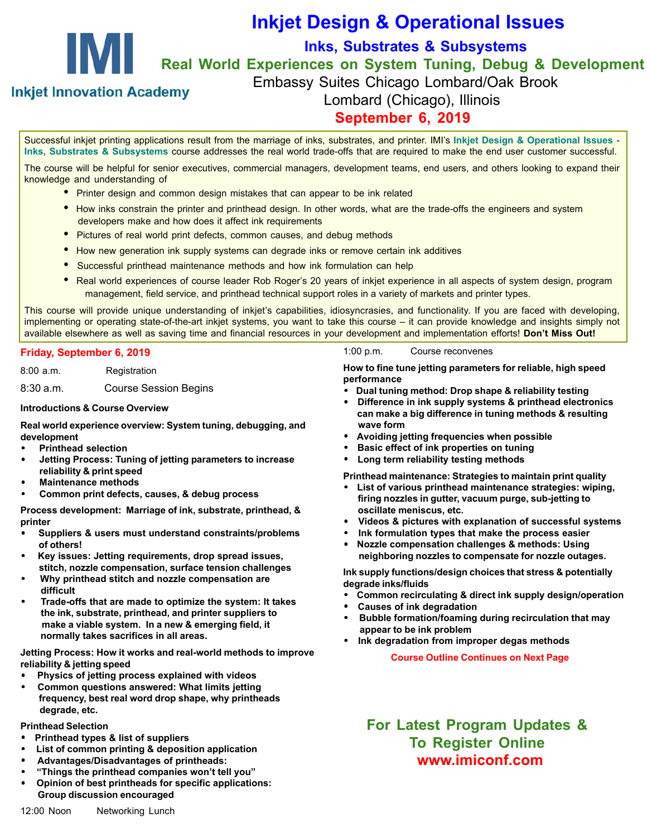

# **Inkjet Design & Operational Issues**

**Inks, Substrates & Subsystems**

**Real World Experiences on System Tuning, Debug & Development**

**Inkjet Innovation Academy** 

Embassy Suites Chicago Lombard/Oak Brook Lombard (Chicago), Illinois

# **September 6, 2019**

Successful inkjet printing applications result from the marriage of inks, substrates, and printer. IMI's **Inkjet Design & Operational Issues - Inks, Substrates & Subsystems** course addresses the real world trade-offs that are required to make the end user customer successful.

The course will be helpful for senior executives, commercial managers, development teams, end users, and others looking to expand their knowledge and understanding of

- Printer design and common design mistakes that can appear to be ink related
- How inks constrain the printer and printhead design. In other words, what are the trade-offs the engineers and system developers make and how does it affect ink requirements
- Pictures of real world print defects, common causes, and debug methods
- How new generation ink supply systems can degrade inks or remove certain ink additives
- Successful printhead maintenance methods and how ink formulation can help
- Real world experiences of course leader Rob Roger's 20 years of inkjet experience in all aspects of system design, program management, field service, and printhead technical support roles in a variety of markets and printer types.

This course will provide unique understanding of inkjet's capabilities, idiosyncrasies, and functionality. If you are faced with developing, implementing or operating state-of-the-art inkjet systems, you want to take this course – it can provide knowledge and insights simply not available elsewhere as well as saving time and financial resources in your development and implementation efforts! **Don't Miss Out!**

#### **Friday, September 6, 2019**

8:00 a.m. Registration

8:30 a.m. Course Session Begins

#### **Introductions & Course Overview**

**Real world experience overview: System tuning, debugging, and development**

- **Printhead selection**
- **Jetting Process: Tuning of jetting parameters to increase reliability & print speed**
- **Maintenance methods**
- **Common print defects, causes, & debug process**

**Process development: Marriage of ink, substrate, printhead, & printer**

- **Suppliers & users must understand constraints/problems of others!**
- **Key issues: Jetting requirements, drop spread issues, stitch, nozzle compensation, surface tension challenges**
- **Why printhead stitch and nozzle compensation are difficult**
- **Trade-offs that are made to optimize the system: It takes the ink, substrate, printhead, and printer suppliers to make a viable system. In a new & emerging field, it normally takes sacrifices in all areas.**

**Jetting Process: How it works and real-world methods to improve reliability & jetting speed**

- **Physics of jetting process explained with videos**
- **Common questions answered: What limits jetting frequency, best real word drop shape, why printheads degrade, etc.**

#### **Printhead Selection**

- **Printhead types & list of suppliers**
- **List of common printing & deposition application**
- **Advantages/Disadvantages of printheads:**
- **"Things the printhead companies won't tell you"**
- **Opinion of best printheads for specific applications: Group discussion encouraged**

#### 1:00 p.m. Course reconvenes

**How to fine tune jetting parameters for reliable, high speed performance**

- **Dual tuning method: Drop shape & reliability testing**
- **Difference in ink supply systems & printhead electronics can make a big difference in tuning methods & resulting wave form**
- **Avoiding jetting frequencies when possible**
- **Basic effect of ink properties on tuning**
- **Long term reliability testing methods**

**Printhead maintenance: Strategies to maintain print quality**

- **List of various printhead maintenance strategies: wiping, firing nozzles in gutter, vacuum purge, sub-jetting to oscillate meniscus, etc.**
- **Videos & pictures with explanation of successful systems**
- **Ink formulation types that make the process easier**
- **Nozzle compensation challenges & methods: Using neighboring nozzles to compensate for nozzle outages.**

**Ink supply functions/design choices that stress & potentially degrade inks/fluids**

- **Common recirculating & direct ink supply design/operation**
- **Causes of ink degradation**
- **Bubble formation/foaming during recirculation that may appear to be ink problem**
- **Ink degradation from improper degas methods**

 **Course Outline Continues on Next Page**

**For Latest Program Updates & To Register Online www.imiconf.com**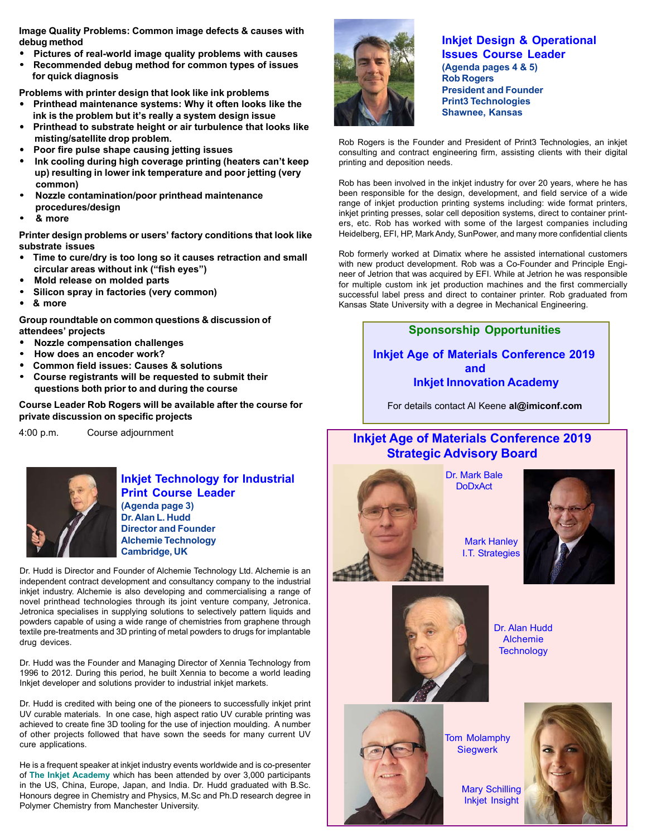**Image Quality Problems: Common image defects & causes with debug method**

- **Pictures of real-world image quality problems with causes**
- **Recommended debug method for common types of issues for quick diagnosis**

**Problems with printer design that look like ink problems**

- **Printhead maintenance systems: Why it often looks like the ink is the problem but it's really a system design issue**
- **Printhead to substrate height or air turbulence that looks like misting/satellite drop problem.**
- **Poor fire pulse shape causing jetting issues**
- **Ink cooling during high coverage printing (heaters can't keep up) resulting in lower ink temperature and poor jetting (very common)**
- **Nozzle contamination/poor printhead maintenance procedures/design**
- **& more**

**Printer design problems or users' factory conditions that look like substrate issues**

- **Time to cure/dry is too long so it causes retraction and small circular areas without ink ("fish eyes")**
- **Mold release on molded parts**
- **Silicon spray in factories (very common)**
- **& more**

**Group roundtable on common questions & discussion of attendees' projects**

- **Nozzle compensation challenges**
- **How does an encoder work?**
- **Common field issues: Causes & solutions**
- **Course registrants will be requested to submit their questions both prior to and during the course**

**Course Leader Rob Rogers will be available after the course for private discussion on specific projects**

4:00 p.m. Course adjournment



# **Inkjet Technology for Industrial Print Course Leader**

**(Agenda page 3) Dr. Alan L. Hudd Director and Founder Alchemie Technology Cambridge, UK**

Dr. Hudd is Director and Founder of Alchemie Technology Ltd. Alchemie is an independent contract development and consultancy company to the industrial inkjet industry. Alchemie is also developing and commercialising a range of novel printhead technologies through its joint venture company, Jetronica. Jetronica specialises in supplying solutions to selectively pattern liquids and powders capable of using a wide range of chemistries from graphene through textile pre-treatments and 3D printing of metal powders to drugs for implantable drug devices.

Dr. Hudd was the Founder and Managing Director of Xennia Technology from 1996 to 2012. During this period, he built Xennia to become a world leading Inkjet developer and solutions provider to industrial inkjet markets.

Dr. Hudd is credited with being one of the pioneers to successfully inkjet print UV curable materials. In one case, high aspect ratio UV curable printing was achieved to create fine 3D tooling for the use of injection moulding. A number of other projects followed that have sown the seeds for many current UV cure applications.

He is a frequent speaker at inkjet industry events worldwide and is co-presenter of **The Inkjet Academy** which has been attended by over 3,000 participants in the US, China, Europe, Japan, and India. Dr. Hudd graduated with B.Sc. Honours degree in Chemistry and Physics, M.Sc and Ph.D research degree in Polymer Chemistry from Manchester University.



#### **Inkjet Design & Operational Issues Course Leader (Agenda pages 4 & 5) Rob Rogers President and Founder Print3 Technologies Shawnee, Kansas**

Rob Rogers is the Founder and President of Print3 Technologies, an inkjet consulting and contract engineering firm, assisting clients with their digital printing and deposition needs.

Rob has been involved in the inkjet industry for over 20 years, where he has been responsible for the design, development, and field service of a wide range of inkjet production printing systems including: wide format printers, inkjet printing presses, solar cell deposition systems, direct to container printers, etc. Rob has worked with some of the largest companies including Heidelberg, EFI, HP, Mark Andy, SunPower, and many more confidential clients

Rob formerly worked at Dimatix where he assisted international customers with new product development. Rob was a Co-Founder and Principle Engineer of Jetrion that was acquired by EFI. While at Jetrion he was responsible for multiple custom ink jet production machines and the first commercially successful label press and direct to container printer. Rob graduated from Kansas State University with a degree in Mechanical Engineering.

## **Sponsorship Opportunities**

**Inkjet Age of Materials Conference 2019 and Inkjet Innovation Academy**

For details contact Al Keene **al@imiconf.com**

# **Inkjet Age of Materials Conference 2019 Strategic Advisory Board**



Dr. Mark Bale **DoDxAct** 





Dr. Alan Hudd Alchemie **Technology** 



Tom Molamphy **Siegwerk** 

Mary Schilling Inkjet Insight